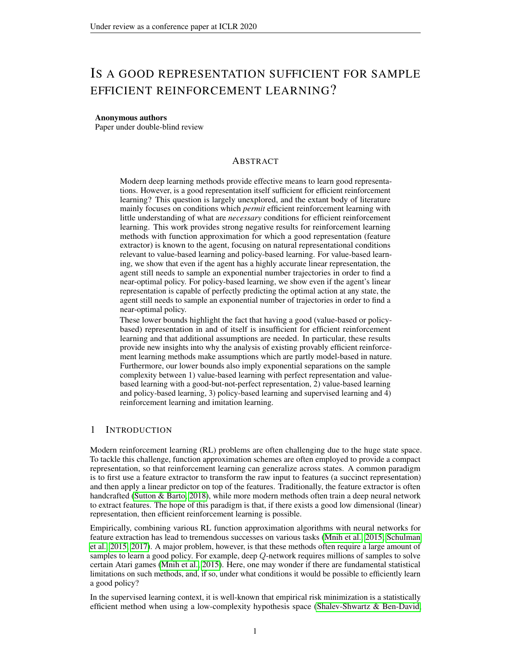# IS A GOOD REPRESENTATION SUFFICIENT FOR SAMPLE EFFICIENT REINFORCEMENT LEARNING?

#### Anonymous authors

Paper under double-blind review

# ABSTRACT

Modern deep learning methods provide effective means to learn good representations. However, is a good representation itself sufficient for efficient reinforcement learning? This question is largely unexplored, and the extant body of literature mainly focuses on conditions which *permit* efficient reinforcement learning with little understanding of what are *necessary* conditions for efficient reinforcement learning. This work provides strong negative results for reinforcement learning methods with function approximation for which a good representation (feature extractor) is known to the agent, focusing on natural representational conditions relevant to value-based learning and policy-based learning. For value-based learning, we show that even if the agent has a highly accurate linear representation, the agent still needs to sample an exponential number trajectories in order to find a near-optimal policy. For policy-based learning, we show even if the agent's linear representation is capable of perfectly predicting the optimal action at any state, the agent still needs to sample an exponential number of trajectories in order to find a near-optimal policy.

These lower bounds highlight the fact that having a good (value-based or policybased) representation in and of itself is insufficient for efficient reinforcement learning and that additional assumptions are needed. In particular, these results provide new insights into why the analysis of existing provably efficient reinforcement learning methods make assumptions which are partly model-based in nature. Furthermore, our lower bounds also imply exponential separations on the sample complexity between 1) value-based learning with perfect representation and valuebased learning with a good-but-not-perfect representation, 2) value-based learning and policy-based learning, 3) policy-based learning and supervised learning and 4) reinforcement learning and imitation learning.

# 1 INTRODUCTION

Modern reinforcement learning (RL) problems are often challenging due to the huge state space. To tackle this challenge, function approximation schemes are often employed to provide a compact representation, so that reinforcement learning can generalize across states. A common paradigm is to first use a feature extractor to transform the raw input to features (a succinct representation) and then apply a linear predictor on top of the features. Traditionally, the feature extractor is often handcrafted [\(Sutton & Barto, 2018\)](#page-10-0), while more modern methods often train a deep neural network to extract features. The hope of this paradigm is that, if there exists a good low dimensional (linear) representation, then efficient reinforcement learning is possible.

Empirically, combining various RL function approximation algorithms with neural networks for feature extraction has lead to tremendous successes on various tasks [\(Mnih et al., 2015;](#page-9-0) [Schulman](#page-9-1) [et al., 2015;](#page-9-1) [2017\)](#page-9-2). A major problem, however, is that these methods often require a large amount of samples to learn a good policy. For example, deep Q-network requires millions of samples to solve certain Atari games [\(Mnih et al., 2015\)](#page-9-0). Here, one may wonder if there are fundamental statistical limitations on such methods, and, if so, under what conditions it would be possible to efficiently learn a good policy?

In the supervised learning context, it is well-known that empirical risk minimization is a statistically efficient method when using a low-complexity hypothesis space [\(Shalev-Shwartz & Ben-David,](#page-9-3)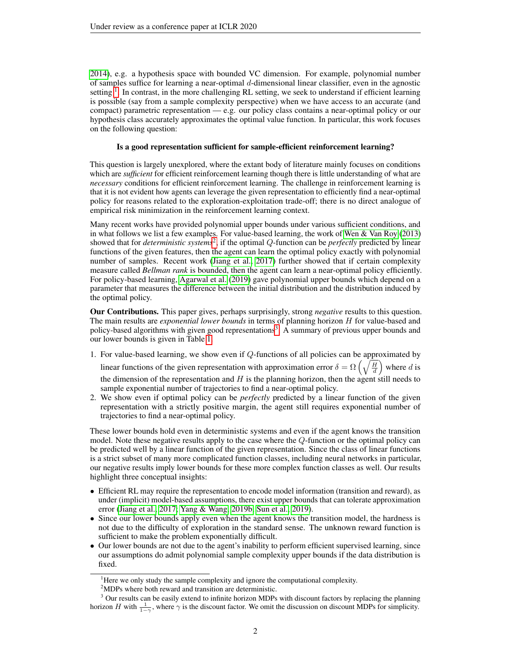[2014\)](#page-9-3), e.g. a hypothesis space with bounded VC dimension. For example, polynomial number of samples suffice for learning a near-optimal  $d$ -dimensional linear classifier, even in the agnostic setting  $\overline{1}$  $\overline{1}$  $\overline{1}$ . In contrast, in the more challenging RL setting, we seek to understand if efficient learning is possible (say from a sample complexity perspective) when we have access to an accurate (and compact) parametric representation — e.g. our policy class contains a near-optimal policy or our hypothesis class accurately approximates the optimal value function. In particular, this work focuses on the following question:

## Is a good representation sufficient for sample-efficient reinforcement learning?

This question is largely unexplored, where the extant body of literature mainly focuses on conditions which are *sufficient* for efficient reinforcement learning though there is little understanding of what are *necessary* conditions for efficient reinforcement learning. The challenge in reinforcement learning is that it is not evident how agents can leverage the given representation to efficiently find a near-optimal policy for reasons related to the exploration-exploitation trade-off; there is no direct analogue of empirical risk minimization in the reinforcement learning context.

Many recent works have provided polynomial upper bounds under various sufficient conditions, and in what follows we list a few examples. For value-based learning, the work of [Wen & Van Roy](#page-10-1) [\(2013\)](#page-10-1) showed that for *deterministic systems*[2](#page-1-1) , if the optimal Q-function can be *perfectly* predicted by linear functions of the given features, then the agent can learn the optimal policy exactly with polynomial number of samples. Recent work [\(Jiang et al., 2017\)](#page-8-0) further showed that if certain complexity measure called *Bellman rank* is bounded, then the agent can learn a near-optimal policy efficiently. For policy-based learning, [Agarwal et al.](#page-8-1) [\(2019\)](#page-8-1) gave polynomial upper bounds which depend on a parameter that measures the difference between the initial distribution and the distribution induced by the optimal policy.

Our Contributions. This paper gives, perhaps surprisingly, strong *negative* results to this question. The main results are *exponential lower bounds* in terms of planning horizon H for value-based and policy-based algorithms with given good representations<sup>[3](#page-1-2)</sup>. A summary of previous upper bounds and our lower bounds is given in Table [1.](#page-2-0)

- 1. For value-based learning, we show even if Q-functions of all policies can be approximated by linear functions of the given representation with approximation error  $\delta = \Omega \left( \sqrt{\frac{H}{d}} \right)$  where d is the dimension of the representation and  $H$  is the planning horizon, then the agent still needs to sample exponential number of trajectories to find a near-optimal policy.
- 2. We show even if optimal policy can be *perfectly* predicted by a linear function of the given representation with a strictly positive margin, the agent still requires exponential number of trajectories to find a near-optimal policy.

These lower bounds hold even in deterministic systems and even if the agent knows the transition model. Note these negative results apply to the case where the Q-function or the optimal policy can be predicted well by a linear function of the given representation. Since the class of linear functions is a strict subset of many more complicated function classes, including neural networks in particular, our negative results imply lower bounds for these more complex function classes as well. Our results highlight three conceptual insights:

- Efficient RL may require the representation to encode model information (transition and reward), as under (implicit) model-based assumptions, there exist upper bounds that can tolerate approximation error [\(Jiang et al., 2017;](#page-8-0) [Yang & Wang, 2019b;](#page-10-2) [Sun et al., 2019\)](#page-10-3).
- Since our lower bounds apply even when the agent knows the transition model, the hardness is not due to the difficulty of exploration in the standard sense. The unknown reward function is sufficient to make the problem exponentially difficult.
- Our lower bounds are not due to the agent's inability to perform efficient supervised learning, since our assumptions do admit polynomial sample complexity upper bounds if the data distribution is fixed.

<span id="page-1-0"></span><sup>&</sup>lt;sup>1</sup>Here we only study the sample complexity and ignore the computational complexity.

<span id="page-1-2"></span><span id="page-1-1"></span><sup>2</sup>MDPs where both reward and transition are deterministic.

<sup>&</sup>lt;sup>3</sup> Our results can be easily extend to infinite horizon MDPs with discount factors by replacing the planning horizon H with  $\frac{1}{1-\gamma}$ , where  $\gamma$  is the discount factor. We omit the discussion on discount MDPs for simplicity.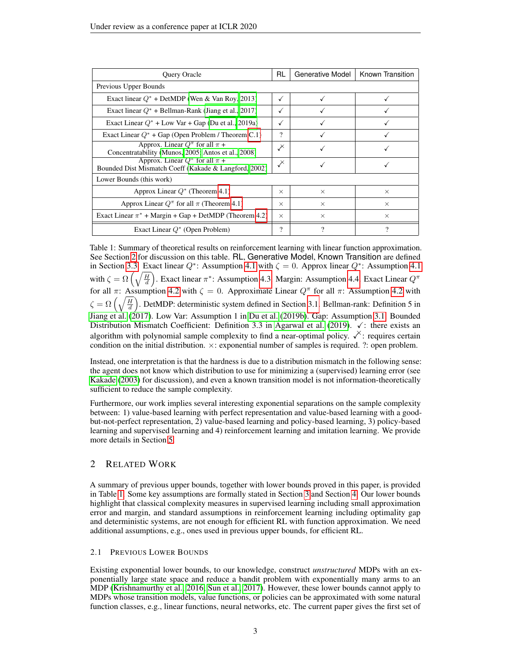<span id="page-2-0"></span>

| Query Oracle                                                                                      | RL       | Generative Model | Known Transition |  |  |  |  |
|---------------------------------------------------------------------------------------------------|----------|------------------|------------------|--|--|--|--|
| Previous Upper Bounds                                                                             |          |                  |                  |  |  |  |  |
| Exact linear $Q^*$ + DetMDP (Wen & Van Roy, 2013)                                                 | ✓        | ✓                |                  |  |  |  |  |
| Exact linear $Q^*$ + Bellman-Rank (Jiang et al., 2017)                                            |          |                  |                  |  |  |  |  |
| Exact Linear $Q^*$ + Low Var + Gap (Du et al., 2019a)                                             |          |                  |                  |  |  |  |  |
| Exact Linear $Q^*$ + Gap (Open Problem / Theorem C.1)                                             | ?        |                  |                  |  |  |  |  |
| Approx. Linear $Q^{\pi}$ for all $\pi$ +<br>Concentratability (Munos, 2005; Antos et al., 2008)   | 乄        |                  |                  |  |  |  |  |
| Approx. Linear $Q^{\pi}$ for all $\pi$ +<br>Bounded Dist Mismatch Coeff (Kakade & Langford, 2002) | $\chi$   |                  |                  |  |  |  |  |
| Lower Bounds (this work)                                                                          |          |                  |                  |  |  |  |  |
| Approx Linear $Q^*$ (Theorem 4.1)                                                                 | $\times$ | $\times$         | $\times$         |  |  |  |  |
| Approx Linear $Q^{\pi}$ for all $\pi$ (Theorem 4.1)                                               | $\times$ | $\times$         | $\times$         |  |  |  |  |
| Exact Linear $\pi^*$ + Margin + Gap + DetMDP (Theorem 4.2)                                        | $\times$ | $\times$         | $\times$         |  |  |  |  |
| Exact Linear $Q^*$ (Open Problem)                                                                 | $\gamma$ |                  | 9                |  |  |  |  |

Table 1: Summary of theoretical results on reinforcement learning with linear function approximation. See Section [2](#page-2-1) for discussion on this table. RL, Generative Model, Known Transition are defined in Section [3.3.](#page-4-0) Exact linear  $Q^*$ : Assumption [4.1](#page-5-1) with  $\zeta = 0$ . Approx linear  $Q^*$ : Assumption 4.1 with  $\zeta = \Omega\left(\sqrt{\frac{H}{d}}\right)$ . Exact linear  $\pi^*$ : Assumption [4.3.](#page-5-2) Margin: Assumption [4.4.](#page-6-1) Exact Linear  $Q^{\pi}$ for all π: Assumption [4.2](#page-5-3) with  $\zeta = 0$ . Approximate Linear  $Q^{\pi}$  for all π: Assumption 4.2 with  $\zeta = \Omega\left(\sqrt{\frac{H}{d}}\right)$ . DetMDP: deterministic system defined in Section [3.1.](#page-4-1) Bellman-rank: Definition 5 in [Jiang et al.](#page-8-0) [\(2017\)](#page-8-0). Low Var: Assumption 1 in [Du et al.](#page-8-4) [\(2019b\)](#page-8-4). Gap: Assumption [3.1.](#page-4-2) Bounded Distribution Mismatch Coefficient: Definition 3.3 in [Agarwal et al.](#page-8-1) [\(2019\)](#page-8-1).  $\checkmark$ : there exists an algorithm with polynomial sample complexity to find a near-optimal policy.  $\checkmark$ : requires certain condition on the initial distribution. ×: exponential number of samples is required. ?: open problem.

Instead, one interpretation is that the hardness is due to a distribution mismatch in the following sense: the agent does not know which distribution to use for minimizing a (supervised) learning error (see [Kakade](#page-9-6) [\(2003\)](#page-9-6) for discussion), and even a known transition model is not information-theoretically sufficient to reduce the sample complexity.

Furthermore, our work implies several interesting exponential separations on the sample complexity between: 1) value-based learning with perfect representation and value-based learning with a goodbut-not-perfect representation, 2) value-based learning and policy-based learning, 3) policy-based learning and supervised learning and 4) reinforcement learning and imitation learning. We provide more details in Section [5.](#page-7-0)

# <span id="page-2-1"></span>2 RELATED WORK

A summary of previous upper bounds, together with lower bounds proved in this paper, is provided in Table [1.](#page-2-0) Some key assumptions are formally stated in Section [3](#page-4-3) and Section [4.](#page-5-4) Our lower bounds highlight that classical complexity measures in supervised learning including small approximation error and margin, and standard assumptions in reinforcement learning including optimality gap and deterministic systems, are not enough for efficient RL with function approximation. We need additional assumptions, e.g., ones used in previous upper bounds, for efficient RL.

## 2.1 PREVIOUS LOWER BOUNDS

Existing exponential lower bounds, to our knowledge, construct *unstructured* MDPs with an exponentially large state space and reduce a bandit problem with exponentially many arms to an MDP [\(Krishnamurthy et al., 2016;](#page-9-7) [Sun et al., 2017\)](#page-10-4). However, these lower bounds cannot apply to MDPs whose transition models, value functions, or policies can be approximated with some natural function classes, e.g., linear functions, neural networks, etc. The current paper gives the first set of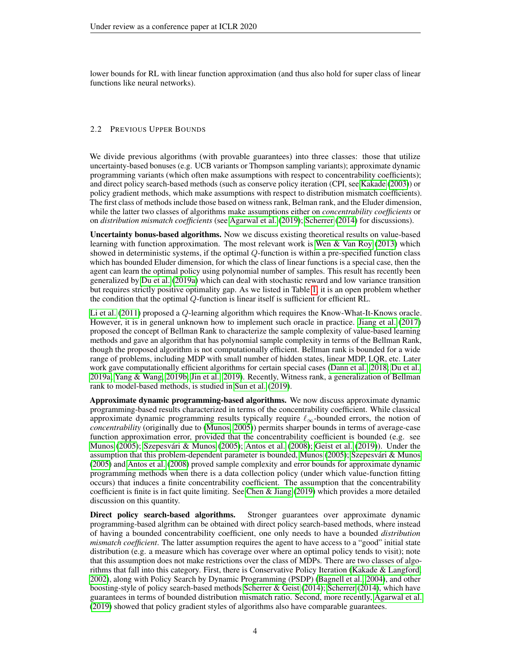lower bounds for RL with linear function approximation (and thus also hold for super class of linear functions like neural networks).

## 2.2 PREVIOUS UPPER BOUNDS

We divide previous algorithms (with provable guarantees) into three classes: those that utilize uncertainty-based bonuses (e.g. UCB variants or Thompson sampling variants); approximate dynamic programming variants (which often make assumptions with respect to concentrability coefficients); and direct policy search-based methods (such as conserve policy iteration (CPI, see [Kakade](#page-9-6) [\(2003\)](#page-9-6)) or policy gradient methods, which make assumptions with respect to distribution mismatch coefficients). The first class of methods include those based on witness rank, Belman rank, and the Eluder dimension, while the latter two classes of algorithms make assumptions either on *concentrability coefficients* or on *distribution mismatch coefficients* (see [Agarwal et al.](#page-8-1) [\(2019\)](#page-8-1); [Scherrer](#page-9-8) [\(2014\)](#page-9-8) for discussions).

Uncertainty bonus-based algorithms. Now we discuss existing theoretical results on value-based learning with function approximation. The most relevant work is Wen  $\&$  Van Roy [\(2013\)](#page-10-1) which showed in deterministic systems, if the optimal Q-function is within a pre-specified function class which has bounded Eluder dimension, for which the class of linear functions is a special case, then the agent can learn the optimal policy using polynomial number of samples. This result has recently been generalized by [Du et al.](#page-8-2) [\(2019a\)](#page-8-2) which can deal with stochastic reward and low variance transition but requires strictly positive optimality gap. As we listed in Table [1,](#page-2-0) it is an open problem whether the condition that the optimal Q-function is linear itself is sufficient for efficient RL.

[Li et al.](#page-9-9) [\(2011\)](#page-9-9) proposed a Q-learning algorithm which requires the Know-What-It-Knows oracle. However, it is in general unknown how to implement such oracle in practice. [Jiang et al.](#page-8-0) [\(2017\)](#page-8-0) proposed the concept of Bellman Rank to characterize the sample complexity of value-based learning methods and gave an algorithm that has polynomial sample complexity in terms of the Bellman Rank, though the proposed algorithm is not computationally efficient. Bellman rank is bounded for a wide range of problems, including MDP with small number of hidden states, linear MDP, LQR, etc. Later work gave computationally efficient algorithms for certain special cases [\(Dann et al., 2018;](#page-8-5) [Du et al.,](#page-8-2) [2019a;](#page-8-2) [Yang & Wang, 2019b;](#page-10-2) [Jin et al., 2019\)](#page-9-10). Recently, Witness rank, a generalization of Bellman rank to model-based methods, is studied in [Sun et al.](#page-10-3) [\(2019\)](#page-10-3).

Approximate dynamic programming-based algorithms. We now discuss approximate dynamic programming-based results characterized in terms of the concentrability coefficient. While classical approximate dynamic programming results typically require  $\ell_{\infty}$ -bounded errors, the notion of *concentrability* (originally due to [\(Munos, 2005\)](#page-9-4)) permits sharper bounds in terms of average-case function approximation error, provided that the concentrability coefficient is bounded (e.g. see [Munos](#page-9-4) [\(2005\)](#page-10-5); Szepesvári & Munos (2005); [Antos et al.](#page-8-3) [\(2008\)](#page-8-3); [Geist et al.](#page-8-6) [\(2019\)](#page-8-6)). Under the assumption that this problem-dependent parameter is bounded, [Munos](#page-9-4) [\(2005\)](#page-9-4); Szepesvári & Munos [\(2005\)](#page-10-5) and [Antos et al.](#page-8-3) [\(2008\)](#page-8-3) proved sample complexity and error bounds for approximate dynamic programming methods when there is a data collection policy (under which value-function fitting occurs) that induces a finite concentrability coefficient. The assumption that the concentrability coefficient is finite is in fact quite limiting. See [Chen & Jiang](#page-8-7) [\(2019\)](#page-8-7) which provides a more detailed discussion on this quantity.

Direct policy search-based algorithms. Stronger guarantees over approximate dynamic programming-based algrithm can be obtained with direct policy search-based methods, where instead of having a bounded concentrability coefficient, one only needs to have a bounded *distribution mismatch coefficient*. The latter assumption requires the agent to have access to a "good" initial state distribution (e.g. a measure which has coverage over where an optimal policy tends to visit); note that this assumption does not make restrictions over the class of MDPs. There are two classes of algorithms that fall into this category. First, there is Conservative Policy Iteration [\(Kakade & Langford,](#page-9-5) [2002\)](#page-9-5), along with Policy Search by Dynamic Programming (PSDP) [\(Bagnell et al., 2004\)](#page-8-8), and other boosting-style of policy search-based methods [Scherrer & Geist](#page-9-11) [\(2014\)](#page-9-11); [Scherrer](#page-9-8) [\(2014\)](#page-9-8), which have guarantees in terms of bounded distribution mismatch ratio. Second, more recently, [Agarwal et al.](#page-8-1) [\(2019\)](#page-8-1) showed that policy gradient styles of algorithms also have comparable guarantees.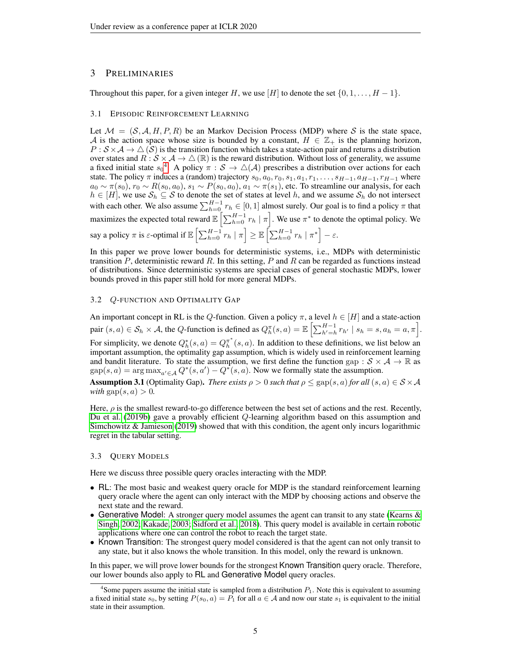## <span id="page-4-3"></span>3 PRELIMINARIES

Throughout this paper, for a given integer H, we use [H] to denote the set  $\{0, 1, \ldots, H-1\}$ .

## <span id="page-4-1"></span>3.1 EPISODIC REINFORCEMENT LEARNING

Let  $\mathcal{M} = (\mathcal{S}, \mathcal{A}, H, P, R)$  be an Markov Decision Process (MDP) where S is the state space, A is the action space whose size is bounded by a constant,  $H \in \mathbb{Z}_+$  is the planning horizon,  $P : S \times A \to \triangle (S)$  is the transition function which takes a state-action pair and returns a distribution over states and  $R: \mathcal{S} \times \mathcal{A} \to \triangle (\mathbb{R})$  is the reward distribution. Without loss of generality, we assume a fixed initial state  $s_0^4$  $s_0^4$ . A policy  $\pi : S \to \triangle(A)$  prescribes a distribution over actions for each state. The policy  $\pi$  induces a (random) trajectory  $s_0, a_0, r_0, s_1, a_1, r_1, \ldots, s_{H-1}, a_{H-1}, r_{H-1}$  where  $a_0 \sim \pi(s_0)$ ,  $r_0 \sim R(s_0, a_0)$ ,  $s_1 \sim P(s_0, a_0)$ ,  $a_1 \sim \pi(s_1)$ , etc. To streamline our analysis, for each  $h \in [H]$ , we use  $S_h \subseteq S$  to denote the set of states at level h, and we assume  $S_h$  do not intersect with each other. We also assume  $\sum_{h=0}^{H-1} r_h \in [0, 1]$  almost surely. Our goal is to find a policy  $\pi$  that maximizes the expected total reward  $\mathbb{E}\left[\sum_{h=0}^{H-1} r_h \mid \pi\right]$ . We use  $\pi^*$  to denote the optimal policy. We say a policy  $\pi$  is  $\varepsilon$ -optimal if  $\mathbb{E}\left[\sum_{h=0}^{H-1} r_h | \pi \right] \ge \mathbb{E}\left[\sum_{h=0}^{H-1} r_h | \pi^* \right] - \varepsilon$ .

In this paper we prove lower bounds for deterministic systems, i.e., MDPs with deterministic transition  $P$ , deterministic reward  $R$ . In this setting,  $P$  and  $R$  can be regarded as functions instead of distributions. Since deterministic systems are special cases of general stochastic MDPs, lower bounds proved in this paper still hold for more general MDPs.

## 3.2 Q-FUNCTION AND OPTIMALITY GAP

An important concept in RL is the Q-function. Given a policy  $\pi$ , a level  $h \in [H]$  and a state-action pair  $(s, a) \in \mathcal{S}_h \times \mathcal{A}$ , the Q-function is defined as  $Q_h^{\pi}(s, a) = \mathbb{E} \left[ \sum_{h'=h}^{H-1} r_{h'} \mid s_h = s, a_h = a, \pi \right]$ . For simplicity, we denote  $Q_h^*(s, a) = Q_h^{\pi^*}(s, a)$ . In addition to these definitions, we list below an important assumption, the optimality gap assumption, which is widely used in reinforcement learning and bandit literature. To state the assumption, we first define the function gap :  $S \times A \rightarrow \mathbb{R}$  as  $\text{gap}(s, a) = \arg \max_{a' \in \mathcal{A}} Q^*(s, a') - Q^*(s, a)$ . Now we formally state the assumption.

<span id="page-4-2"></span>**Assumption 3.1** (Optimality Gap). *There exists*  $\rho > 0$  *such that*  $\rho \leq$  gap(s, a) *for all* (s, a)  $\in S \times A$ *with*  $\text{gap}(s, a) > 0$ .

Here,  $\rho$  is the smallest reward-to-go difference between the best set of actions and the rest. Recently, [Du et al.](#page-8-4) [\(2019b\)](#page-8-4) gave a provably efficient Q-learning algorithm based on this assumption and [Simchowitz & Jamieson](#page-9-12) [\(2019\)](#page-9-12) showed that with this condition, the agent only incurs logarithmic regret in the tabular setting.

## <span id="page-4-0"></span>3.3 QUERY MODELS

Here we discuss three possible query oracles interacting with the MDP.

- RL: The most basic and weakest query oracle for MDP is the standard reinforcement learning query oracle where the agent can only interact with the MDP by choosing actions and observe the next state and the reward.
- Generative Model: A stronger query model assumes the agent can transit to any state (Kearns  $\&$ [Singh, 2002;](#page-9-13) [Kakade, 2003;](#page-9-6) [Sidford et al., 2018\)](#page-9-14). This query model is available in certain robotic applications where one can control the robot to reach the target state.
- Known Transition: The strongest query model considered is that the agent can not only transit to any state, but it also knows the whole transition. In this model, only the reward is unknown.

In this paper, we will prove lower bounds for the strongest Known Transition query oracle. Therefore, our lower bounds also apply to RL and Generative Model query oracles.

<span id="page-4-4"></span><sup>&</sup>lt;sup>4</sup>Some papers assume the initial state is sampled from a distribution  $P_1$ . Note this is equivalent to assuming a fixed initial state  $s_0$ , by setting  $P(s_0, a) = P_1$  for all  $a \in A$  and now our state  $s_1$  is equivalent to the initial state in their assumption.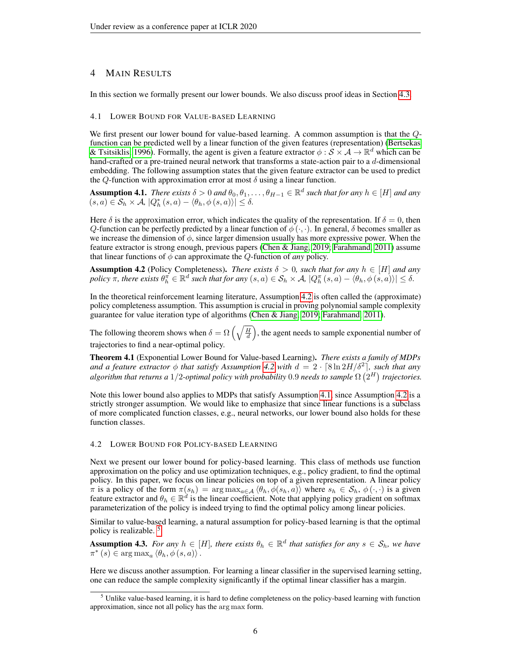# <span id="page-5-4"></span>4 MAIN RESULTS

In this section we formally present our lower bounds. We also discuss proof ideas in Section [4.3.](#page-6-2)

#### 4.1 LOWER BOUND FOR VALUE-BASED LEARNING

We first present our lower bound for value-based learning. A common assumption is that the  $Q$ function can be predicted well by a linear function of the given features (representation) [\(Bertsekas](#page-8-9) [& Tsitsiklis, 1996\)](#page-8-9). Formally, the agent is given a feature extractor  $\phi : \mathcal{S} \times \mathcal{A} \to \mathbb{R}^d$  which can be hand-crafted or a pre-trained neural network that transforms a state-action pair to a  $d$ -dimensional embedding. The following assumption states that the given feature extractor can be used to predict the  $Q$ -function with approximation error at most  $\delta$  using a linear function.

<span id="page-5-1"></span>Assumption 4.1. *There exists*  $\delta > 0$  *and*  $\theta_0, \theta_1, \dots, \theta_{H-1} \in \mathbb{R}^d$  *such that for any*  $h \in [H]$  *and any*  $(s, a) \in S_h \times A$ ,  $|Q_h^*(s, a) - \langle \theta_h, \phi(s, a) \rangle| \le \delta$ .

Here  $\delta$  is the approximation error, which indicates the quality of the representation. If  $\delta = 0$ , then Q-function can be perfectly predicted by a linear function of  $\phi(\cdot, \cdot)$ . In general,  $\delta$  becomes smaller as we increase the dimension of  $\phi$ , since larger dimension usually has more expressive power. When the feature extractor is strong enough, previous papers [\(Chen & Jiang, 2019;](#page-8-7) [Farahmand, 2011\)](#page-8-10) assume that linear functions of  $\phi$  can approximate the Q-function of *any* policy.

<span id="page-5-3"></span>**Assumption 4.2** (Policy Completeness). *There exists*  $\delta > 0$ , such that for any  $h \in [H]$  and any  $policy \nrightarrow \pi$ , there exists  $\theta_h^{\pi} \in \mathbb{R}^d$  such that for any  $(s, a) \in \mathcal{S}_h \times \mathcal{A}$ ,  $|Q_h^{\pi}(s, a) - \langle \theta_h, \phi(s, a) \rangle| \le \delta$ .

In the theoretical reinforcement learning literature, Assumption [4.2](#page-5-3) is often called the (approximate) policy completeness assumption. This assumption is crucial in proving polynomial sample complexity guarantee for value iteration type of algorithms [\(Chen & Jiang, 2019;](#page-8-7) [Farahmand, 2011\)](#page-8-10).

The following theorem shows when  $\delta = \Omega\left(\sqrt{\frac{H}{d}}\right)$ , the agent needs to sample exponential number of trajectories to find a near-optimal policy.

<span id="page-5-0"></span>Theorem 4.1 (Exponential Lower Bound for Value-based Learning). *There exists a family of MDPs and a feature extractor*  $\phi$  *that satisfy Assumption* [4.2](#page-5-3) with  $d = 2 \cdot \lceil 8 \ln 2H/\delta^2 \rceil$ , such that any algorithm that returns a  $1/2$ -optimal policy with probability  $0.9$  needs to sample  $\Omega\left(2^H\right)$  trajectories.

Note this lower bound also applies to MDPs that satisfy Assumption [4.1,](#page-5-1) since Assumption [4.2](#page-5-3) is a strictly stronger assumption. We would like to emphasize that since linear functions is a subclass of more complicated function classes, e.g., neural networks, our lower bound also holds for these function classes.

#### 4.2 LOWER BOUND FOR POLICY-BASED LEARNING

Next we present our lower bound for policy-based learning. This class of methods use function approximation on the policy and use optimization techniques, e.g., policy gradient, to find the optimal policy. In this paper, we focus on linear policies on top of a given representation. A linear policy  $\pi$  is a policy of the form  $\pi(s_h) = \arg \max_{a \in \mathcal{A}} \langle \theta_h, \phi(s_h, a) \rangle$  where  $s_h \in \mathcal{S}_h$ ,  $\phi(\cdot, \cdot)$  is a given feature extractor and  $\theta_h \in \mathbb{R}^d$  is the linear coefficient. Note that applying policy gradient on softmax parameterization of the policy is indeed trying to find the optimal policy among linear policies.

Similar to value-based learning, a natural assumption for policy-based learning is that the optimal policy is realizable. [5](#page-5-5)

<span id="page-5-2"></span>Assumption 4.3. *For any*  $h \in [H]$ , there exists  $\theta_h \in \mathbb{R}^d$  that satisfies for any  $s \in \mathcal{S}_h$ , we have  $\pi^*(s) \in \arg \max_a \langle \theta_h, \phi(s, a) \rangle$ .

Here we discuss another assumption. For learning a linear classifier in the supervised learning setting, one can reduce the sample complexity significantly if the optimal linear classifier has a margin.

<span id="page-5-5"></span><sup>&</sup>lt;sup>5</sup> Unlike value-based learning, it is hard to define completeness on the policy-based learning with function approximation, since not all policy has the arg max form.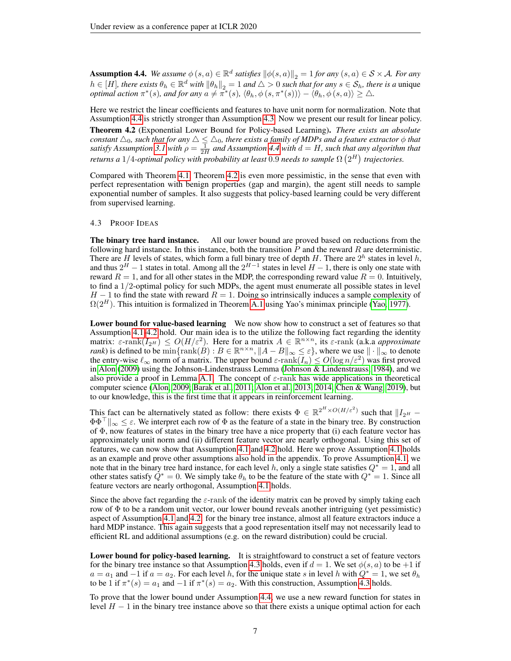<span id="page-6-1"></span>**Assumption 4.4.** *We assume*  $\phi(s, a) \in \mathbb{R}^d$  *satisfies*  $\|\phi(s, a)\|_2 = 1$  *for any*  $(s, a) \in S \times A$ *. For any*  $h \in [H]$ *, there exists*  $\theta_h \in \mathbb{R}^d$  *with*  $\|\theta_h\|_2 = 1$  *and*  $\triangle > 0$  *such that for any*  $s \in \mathcal{S}_h$ *, there is a* unique *optimal action*  $\pi^*(s)$ *, and for any*  $a \neq \pi^*(s)$ *,*  $\langle \theta_h, \phi(s, \pi^*(s)) \rangle - \langle \theta_h, \phi(s, a) \rangle \geq \Delta$ *.* 

Here we restrict the linear coefficients and features to have unit norm for normalization. Note that Assumption [4.4](#page-6-1) is strictly stronger than Assumption [4.3.](#page-5-2) Now we present our result for linear policy.

<span id="page-6-0"></span>Theorem 4.2 (Exponential Lower Bound for Policy-based Learning). *There exists an absolute*  $\alpha$  *constant*  $\triangle_0$ , such that for any  $\triangle \leq \triangle_0$ , there exists a family of MDPs and a feature extractor  $\phi$  that *satisfy Assumption* [3.1](#page-4-2) with  $\rho = \frac{1}{2H}$  and Assumption [4.4](#page-6-1) with  $d = H$ , such that any algorithm that returns a  $1/4$ -optimal policy with probability at least  $0.9$  needs to sample  $\Omega\left(2^{H}\right)$  trajectories.

Compared with Theorem [4.1,](#page-5-0) Theorem [4.2](#page-6-0) is even more pessimistic, in the sense that even with perfect representation with benign properties (gap and margin), the agent still needs to sample exponential number of samples. It also suggests that policy-based learning could be very different from supervised learning.

## <span id="page-6-2"></span>4.3 PROOF IDEAS

The binary tree hard instance. All our lower bound are proved based on reductions from the following hard instance. In this instance, both the transition  $P$  and the reward  $R$  are deterministic. There are H levels of states, which form a full binary tree of depth H. There are  $2^h$  states in level h, and thus  $2^H - 1$  states in total. Among all the  $2^{H-1}$  states in level  $H - 1$ , there is only one state with reward  $R = 1$ , and for all other states in the MDP, the corresponding reward value  $R = 0$ . Intuitively, to find a  $1/2$ -optimal policy for such MDPs, the agent must enumerate all possible states in level  $H - 1$  to find the state with reward  $R = 1$ . Doing so intrinsically induces a sample complexity of  $\Omega(2^H)$ . This intuition is formalized in Theorem [A.1](#page-11-0) using Yao's minimax principle [\(Yao, 1977\)](#page-10-6).

Lower bound for value-based learning We now show how to construct a set of features so that Assumption [4.1-](#page-5-1)[4.2](#page-5-3) hold. Our main idea is to the utilize the following fact regarding the identity matrix:  $\varepsilon$ -rank $(I_{2^H}) \leq O(H/\varepsilon^2)$ . Here for a matrix  $A \in \mathbb{R}^{n \times n}$ , its  $\varepsilon$ -rank (a.k.a *approximate rank*) is defined to be  $\min{\{\text{rank}(B): B \in \mathbb{R}^{n \times n}, \|A - B\|_{\infty} \leq \varepsilon\}}$ , where we use  $\|\cdot\|_{\infty}$  to denote the entry-wise  $\ell_{\infty}$  norm of a matrix. The upper bound  $\varepsilon$ -rank $(I_n) \leq O(\log n/\varepsilon^2)$  was first proved in [Alon](#page-8-11) [\(2009\)](#page-8-11) using the Johnson-Lindenstrauss Lemma [\(Johnson & Lindenstrauss, 1984\)](#page-9-15), and we also provide a proof in Lemma [A.1.](#page-11-1) The concept of  $\varepsilon$ -rank has wide applications in theoretical computer science [\(Alon, 2009;](#page-8-11) [Barak et al., 2011;](#page-8-12) [Alon et al., 2013;](#page-8-13) [2014;](#page-8-14) [Chen & Wang, 2019\)](#page-8-15), but to our knowledge, this is the first time that it appears in reinforcement learning.

This fact can be alternatively stated as follow: there exists  $\Phi \in \mathbb{R}^{2^H \times O(H/\varepsilon^2)}$  such that  $||I_{2^H} \Phi\Phi^{\top}\|_{\infty} \leq \varepsilon$ . We interpret each row of  $\Phi$  as the feature of a state in the binary tree. By construction of  $\Phi$ , now features of states in the binary tree have a nice property that (i) each feature vector has approximately unit norm and (ii) different feature vector are nearly orthogonal. Using this set of features, we can now show that Assumption [4.1](#page-5-1) and [4.2](#page-5-3) hold. Here we prove Assumption [4.1](#page-5-1) holds as an example and prove other assumptions also hold in the appendix. To prove Assumption [4.1,](#page-5-1) we note that in the binary tree hard instance, for each level h, only a single state satisfies  $Q^* = 1$ , and all other states satisfy  $Q^* = 0$ . We simply take  $\theta_h$  to be the feature of the state with  $Q^* = 1$ . Since all feature vectors are nearly orthogonal, Assumption [4.1](#page-5-1) holds.

Since the above fact regarding the  $\varepsilon$ -rank of the identity matrix can be proved by simply taking each row of  $\Phi$  to be a random unit vector, our lower bound reveals another intriguing (yet pessimistic) aspect of Assumption [4.1](#page-5-1) and [4.2:](#page-5-3) for the binary tree instance, almost all feature extractors induce a hard MDP instance. This again suggests that a good representation itself may not necessarily lead to efficient RL and additional assumptions (e.g. on the reward distribution) could be crucial.

Lower bound for policy-based learning. It is straightfoward to construct a set of feature vectors for the binary tree instance so that Assumption [4.3](#page-5-2) holds, even if  $d = 1$ . We set  $\phi(s, a)$  to be +1 if  $a = a_1$  and  $-1$  if  $a = a_2$ . For each level h, for the unique state s in level h with  $Q^* = 1$ , we set  $\theta_h$ to be 1 if  $\pi^*(s) = a_1$  and  $-1$  if  $\pi^*(s) = a_2$ . With this construction, Assumption [4.3](#page-5-2) holds.

To prove that the lower bound under Assumption [4.4,](#page-6-1) we use a new reward function for states in level  $H - 1$  in the binary tree instance above so that there exists a unique optimal action for each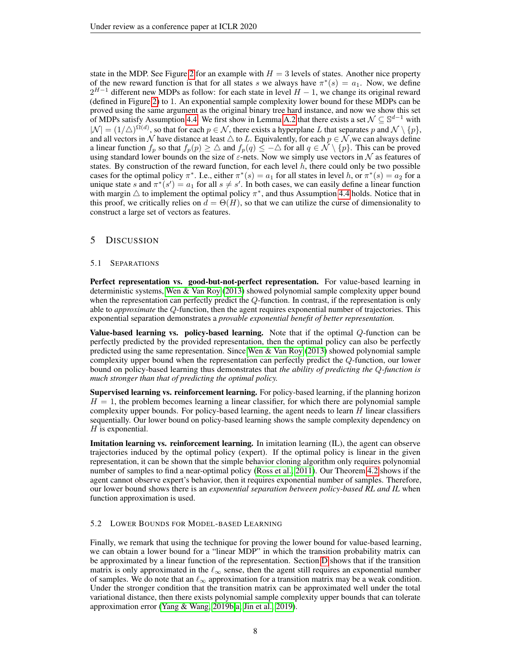state in the MDP. See Figure [2](#page-13-0) for an example with  $H = 3$  levels of states. Another nice property of the new reward function is that for all states s we always have  $\pi^*(s) = a_1$ . Now, we define  $2^{H-1}$  different new MDPs as follow: for each state in level  $H-1$ , we change its original reward (defined in Figure [2\)](#page-13-0) to 1. An exponential sample complexity lower bound for these MDPs can be proved using the same argument as the original binary tree hard instance, and now we show this set of MDPs satisfy Assumption [4.4.](#page-6-1) We first show in Lemma [A.2](#page-13-1) that there exists a set  $\mathcal{N} \subseteq \mathbb{S}^{d-1}$  with  $|\mathcal{N}| = (1/\triangle)^{\Omega(d)}$ , so that for each  $p \in \mathcal{N}$ , there exists a hyperplane L that separates p and  $\mathcal{N} \setminus \{p\}$ , and all vectors in N have distance at least  $\triangle$  to L. Equivalently, for each  $p \in \mathcal{N}$ , we can always define a linear function  $f_p$  so that  $f_p(p) \geq \Delta$  and  $f_p(q) \leq -\Delta$  for all  $q \in \mathcal{N} \setminus \{p\}$ . This can be proved using standard lower bounds on the size of  $\varepsilon$ -nets. Now we simply use vectors in N as features of states. By construction of the reward function, for each level  $h$ , there could only be two possible cases for the optimal policy  $\pi^*$ . I.e., either  $\pi^*(s) = a_1$  for all states in level h, or  $\pi^*(s) = a_2$  for a unique state s and  $\pi^*(s') = a_1$  for all  $s \neq s'$ . In both cases, we can easily define a linear function with margin  $\triangle$  to implement the optimal policy  $\pi^*$ , and thus Assumption [4.4](#page-6-1) holds. Notice that in this proof, we critically relies on  $d = \Theta(H)$ , so that we can utilize the curse of dimensionality to construct a large set of vectors as features.

# <span id="page-7-0"></span>5 DISCUSSION

#### 5.1 SEPARATIONS

Perfect representation vs. good-but-not-perfect representation. For value-based learning in deterministic systems, [Wen & Van Roy](#page-10-1) [\(2013\)](#page-10-1) showed polynomial sample complexity upper bound when the representation can perfectly predict the Q-function. In contrast, if the representation is only able to *approximate* the Q-function, then the agent requires exponential number of trajectories. This exponential separation demonstrates a *provable exponential benefit of better representation.*

Value-based learning vs. policy-based learning. Note that if the optimal  $Q$ -function can be perfectly predicted by the provided representation, then the optimal policy can also be perfectly predicted using the same representation. Since [Wen & Van Roy](#page-10-1) [\(2013\)](#page-10-1) showed polynomial sample complexity upper bound when the representation can perfectly predict the Q-function, our lower bound on policy-based learning thus demonstrates that *the ability of predicting the* Q*-function is much stronger than that of predicting the optimal policy.*

Supervised learning vs. reinforcement learning. For policy-based learning, if the planning horizon  $H = 1$ , the problem becomes learning a linear classifier, for which there are polynomial sample complexity upper bounds. For policy-based learning, the agent needs to learn  $H$  linear classifiers sequentially. Our lower bound on policy-based learning shows the sample complexity dependency on  $H$  is exponential.

**Imitation learning vs. reinforcement learning.** In imitation learning  $(IL)$ , the agent can observe trajectories induced by the optimal policy (expert). If the optimal policy is linear in the given representation, it can be shown that the simple behavior cloning algorithm only requires polynomial number of samples to find a near-optimal policy [\(Ross et al., 2011\)](#page-9-16). Our Theorem [4.2](#page-6-0) shows if the agent cannot observe expert's behavior, then it requires exponential number of samples. Therefore, our lower bound shows there is an *exponential separation between policy-based RL and IL* when function approximation is used.

## 5.2 LOWER BOUNDS FOR MODEL-BASED LEARNING

Finally, we remark that using the technique for proving the lower bound for value-based learning, we can obtain a lower bound for a "linear MDP" in which the transition probability matrix can be approximated by a linear function of the representation. Section [D](#page-17-0) shows that if the transition matrix is only approximated in the  $\ell_{\infty}$  sense, then the agent still requires an exponential number of samples. We do note that an  $\ell_{\infty}$  approximation for a transition matrix may be a weak condition. Under the stronger condition that the transition matrix can be approximated well under the total variational distance, then there exists polynomial sample complexity upper bounds that can tolerate approximation error [\(Yang & Wang, 2019b;](#page-10-2)[a;](#page-10-7) [Jin et al., 2019\)](#page-9-10).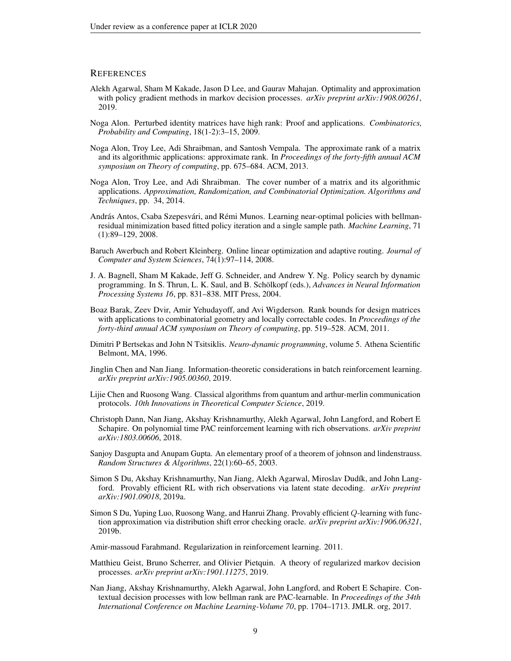## **REFERENCES**

- <span id="page-8-1"></span>Alekh Agarwal, Sham M Kakade, Jason D Lee, and Gaurav Mahajan. Optimality and approximation with policy gradient methods in markov decision processes. *arXiv preprint arXiv:1908.00261*, 2019.
- <span id="page-8-11"></span>Noga Alon. Perturbed identity matrices have high rank: Proof and applications. *Combinatorics, Probability and Computing*, 18(1-2):3–15, 2009.
- <span id="page-8-13"></span>Noga Alon, Troy Lee, Adi Shraibman, and Santosh Vempala. The approximate rank of a matrix and its algorithmic applications: approximate rank. In *Proceedings of the forty-fifth annual ACM symposium on Theory of computing*, pp. 675–684. ACM, 2013.
- <span id="page-8-14"></span>Noga Alon, Troy Lee, and Adi Shraibman. The cover number of a matrix and its algorithmic applications. *Approximation, Randomization, and Combinatorial Optimization. Algorithms and Techniques*, pp. 34, 2014.
- <span id="page-8-3"></span>András Antos, Csaba Szepesvári, and Rémi Munos. Learning near-optimal policies with bellmanresidual minimization based fitted policy iteration and a single sample path. *Machine Learning*, 71 (1):89–129, 2008.
- <span id="page-8-17"></span>Baruch Awerbuch and Robert Kleinberg. Online linear optimization and adaptive routing. *Journal of Computer and System Sciences*, 74(1):97–114, 2008.
- <span id="page-8-8"></span>J. A. Bagnell, Sham M Kakade, Jeff G. Schneider, and Andrew Y. Ng. Policy search by dynamic programming. In S. Thrun, L. K. Saul, and B. Schölkopf (eds.), *Advances in Neural Information Processing Systems 16*, pp. 831–838. MIT Press, 2004.
- <span id="page-8-12"></span>Boaz Barak, Zeev Dvir, Amir Yehudayoff, and Avi Wigderson. Rank bounds for design matrices with applications to combinatorial geometry and locally correctable codes. In *Proceedings of the forty-third annual ACM symposium on Theory of computing*, pp. 519–528. ACM, 2011.
- <span id="page-8-9"></span>Dimitri P Bertsekas and John N Tsitsiklis. *Neuro-dynamic programming*, volume 5. Athena Scientific Belmont, MA, 1996.
- <span id="page-8-7"></span>Jinglin Chen and Nan Jiang. Information-theoretic considerations in batch reinforcement learning. *arXiv preprint arXiv:1905.00360*, 2019.
- <span id="page-8-15"></span>Lijie Chen and Ruosong Wang. Classical algorithms from quantum and arthur-merlin communication protocols. *10th Innovations in Theoretical Computer Science*, 2019.
- <span id="page-8-5"></span>Christoph Dann, Nan Jiang, Akshay Krishnamurthy, Alekh Agarwal, John Langford, and Robert E Schapire. On polynomial time PAC reinforcement learning with rich observations. *arXiv preprint arXiv:1803.00606*, 2018.
- <span id="page-8-16"></span>Sanjoy Dasgupta and Anupam Gupta. An elementary proof of a theorem of johnson and lindenstrauss. *Random Structures & Algorithms*, 22(1):60–65, 2003.
- <span id="page-8-2"></span>Simon S Du, Akshay Krishnamurthy, Nan Jiang, Alekh Agarwal, Miroslav Dudík, and John Langford. Provably efficient RL with rich observations via latent state decoding. *arXiv preprint arXiv:1901.09018*, 2019a.
- <span id="page-8-4"></span>Simon S Du, Yuping Luo, Ruosong Wang, and Hanrui Zhang. Provably efficient Q-learning with function approximation via distribution shift error checking oracle. *arXiv preprint arXiv:1906.06321*, 2019b.
- <span id="page-8-10"></span>Amir-massoud Farahmand. Regularization in reinforcement learning. 2011.
- <span id="page-8-6"></span>Matthieu Geist, Bruno Scherrer, and Olivier Pietquin. A theory of regularized markov decision processes. *arXiv preprint arXiv:1901.11275*, 2019.
- <span id="page-8-0"></span>Nan Jiang, Akshay Krishnamurthy, Alekh Agarwal, John Langford, and Robert E Schapire. Contextual decision processes with low bellman rank are PAC-learnable. In *Proceedings of the 34th International Conference on Machine Learning-Volume 70*, pp. 1704–1713. JMLR. org, 2017.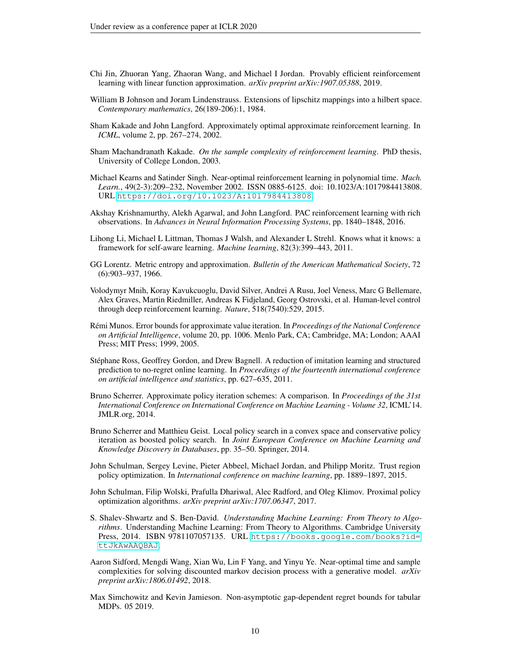- <span id="page-9-10"></span>Chi Jin, Zhuoran Yang, Zhaoran Wang, and Michael I Jordan. Provably efficient reinforcement learning with linear function approximation. *arXiv preprint arXiv:1907.05388*, 2019.
- <span id="page-9-15"></span>William B Johnson and Joram Lindenstrauss. Extensions of lipschitz mappings into a hilbert space. *Contemporary mathematics*, 26(189-206):1, 1984.
- <span id="page-9-5"></span>Sham Kakade and John Langford. Approximately optimal approximate reinforcement learning. In *ICML*, volume 2, pp. 267–274, 2002.
- <span id="page-9-6"></span>Sham Machandranath Kakade. *On the sample complexity of reinforcement learning*. PhD thesis, University of College London, 2003.
- <span id="page-9-13"></span>Michael Kearns and Satinder Singh. Near-optimal reinforcement learning in polynomial time. *Mach. Learn.*, 49(2-3):209–232, November 2002. ISSN 0885-6125. doi: 10.1023/A:1017984413808. URL <https://doi.org/10.1023/A:1017984413808>.
- <span id="page-9-7"></span>Akshay Krishnamurthy, Alekh Agarwal, and John Langford. PAC reinforcement learning with rich observations. In *Advances in Neural Information Processing Systems*, pp. 1840–1848, 2016.
- <span id="page-9-9"></span>Lihong Li, Michael L Littman, Thomas J Walsh, and Alexander L Strehl. Knows what it knows: a framework for self-aware learning. *Machine learning*, 82(3):399–443, 2011.
- <span id="page-9-17"></span>GG Lorentz. Metric entropy and approximation. *Bulletin of the American Mathematical Society*, 72 (6):903–937, 1966.
- <span id="page-9-0"></span>Volodymyr Mnih, Koray Kavukcuoglu, David Silver, Andrei A Rusu, Joel Veness, Marc G Bellemare, Alex Graves, Martin Riedmiller, Andreas K Fidjeland, Georg Ostrovski, et al. Human-level control through deep reinforcement learning. *Nature*, 518(7540):529, 2015.
- <span id="page-9-4"></span>Rémi Munos. Error bounds for approximate value iteration. In *Proceedings of the National Conference on Artificial Intelligence*, volume 20, pp. 1006. Menlo Park, CA; Cambridge, MA; London; AAAI Press; MIT Press; 1999, 2005.
- <span id="page-9-16"></span>Stephane Ross, Geoffrey Gordon, and Drew Bagnell. A reduction of imitation learning and structured ´ prediction to no-regret online learning. In *Proceedings of the fourteenth international conference on artificial intelligence and statistics*, pp. 627–635, 2011.
- <span id="page-9-8"></span>Bruno Scherrer. Approximate policy iteration schemes: A comparison. In *Proceedings of the 31st International Conference on International Conference on Machine Learning - Volume 32*, ICML'14. JMLR.org, 2014.
- <span id="page-9-11"></span>Bruno Scherrer and Matthieu Geist. Local policy search in a convex space and conservative policy iteration as boosted policy search. In *Joint European Conference on Machine Learning and Knowledge Discovery in Databases*, pp. 35–50. Springer, 2014.
- <span id="page-9-1"></span>John Schulman, Sergey Levine, Pieter Abbeel, Michael Jordan, and Philipp Moritz. Trust region policy optimization. In *International conference on machine learning*, pp. 1889–1897, 2015.
- <span id="page-9-2"></span>John Schulman, Filip Wolski, Prafulla Dhariwal, Alec Radford, and Oleg Klimov. Proximal policy optimization algorithms. *arXiv preprint arXiv:1707.06347*, 2017.
- <span id="page-9-3"></span>S. Shalev-Shwartz and S. Ben-David. *Understanding Machine Learning: From Theory to Algorithms*. Understanding Machine Learning: From Theory to Algorithms. Cambridge University Press, 2014. ISBN 9781107057135. URL [https://books.google.com/books?id=](https://books.google.com/books?id=ttJkAwAAQBAJ) [ttJkAwAAQBAJ](https://books.google.com/books?id=ttJkAwAAQBAJ).
- <span id="page-9-14"></span>Aaron Sidford, Mengdi Wang, Xian Wu, Lin F Yang, and Yinyu Ye. Near-optimal time and sample complexities for solving discounted markov decision process with a generative model. *arXiv preprint arXiv:1806.01492*, 2018.
- <span id="page-9-12"></span>Max Simchowitz and Kevin Jamieson. Non-asymptotic gap-dependent regret bounds for tabular MDPs. 05 2019.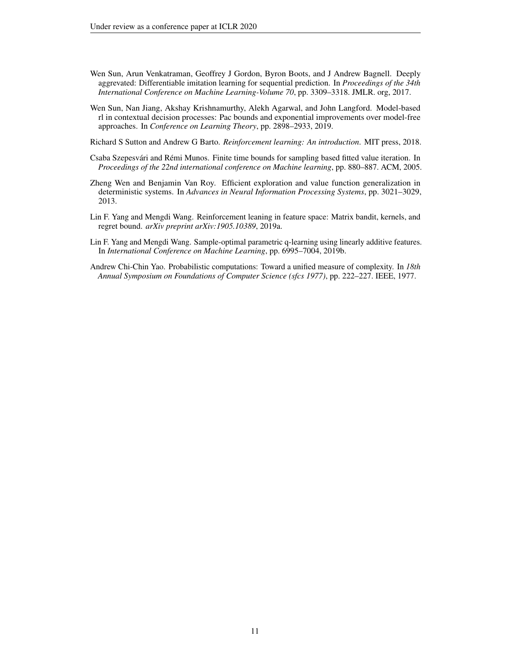- <span id="page-10-4"></span>Wen Sun, Arun Venkatraman, Geoffrey J Gordon, Byron Boots, and J Andrew Bagnell. Deeply aggrevated: Differentiable imitation learning for sequential prediction. In *Proceedings of the 34th International Conference on Machine Learning-Volume 70*, pp. 3309–3318. JMLR. org, 2017.
- <span id="page-10-3"></span>Wen Sun, Nan Jiang, Akshay Krishnamurthy, Alekh Agarwal, and John Langford. Model-based rl in contextual decision processes: Pac bounds and exponential improvements over model-free approaches. In *Conference on Learning Theory*, pp. 2898–2933, 2019.
- <span id="page-10-0"></span>Richard S Sutton and Andrew G Barto. *Reinforcement learning: An introduction*. MIT press, 2018.
- <span id="page-10-5"></span>Csaba Szepesvári and Rémi Munos. Finite time bounds for sampling based fitted value iteration. In *Proceedings of the 22nd international conference on Machine learning*, pp. 880–887. ACM, 2005.
- <span id="page-10-1"></span>Zheng Wen and Benjamin Van Roy. Efficient exploration and value function generalization in deterministic systems. In *Advances in Neural Information Processing Systems*, pp. 3021–3029, 2013.
- <span id="page-10-7"></span>Lin F. Yang and Mengdi Wang. Reinforcement leaning in feature space: Matrix bandit, kernels, and regret bound. *arXiv preprint arXiv:1905.10389*, 2019a.
- <span id="page-10-2"></span>Lin F. Yang and Mengdi Wang. Sample-optimal parametric q-learning using linearly additive features. In *International Conference on Machine Learning*, pp. 6995–7004, 2019b.
- <span id="page-10-6"></span>Andrew Chi-Chin Yao. Probabilistic computations: Toward a unified measure of complexity. In *18th Annual Symposium on Foundations of Computer Science (sfcs 1977)*, pp. 222–227. IEEE, 1977.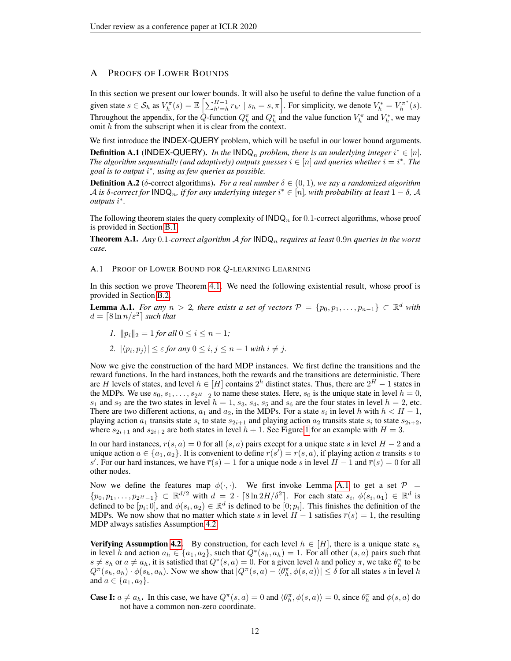# A PROOFS OF LOWER BOUNDS

In this section we present our lower bounds. It will also be useful to define the value function of a given state  $s \in \mathcal{S}_h$  as  $V_h^{\pi}(s) = \mathbb{E}\left[\sum_{h'=h}^{H-1} r_{h'} \mid s_h = s, \pi\right]$ . For simplicity, we denote  $V_h^* = V_h^{\pi^*}(s)$ . Throughout the appendix, for the  $\tilde{Q}$ -function  $Q_h^{\pi}$  and  $Q_h^*$  and the value function  $V_h^{\pi}$  and  $V_h^*$ , we may omit h from the subscript when it is clear from the context.

We first introduce the **INDEX-QUERY** problem, which will be useful in our lower bound arguments. **Definition A.1** (INDEX-QUERY). In the INDQ<sub>n</sub> problem, there is an underlying integer  $i^* \in [n]$ . The algorithm sequentially (and adaptively) outputs guesses  $i \in [n]$  and queries whether  $i = i^*$ . The *goal is to output* i ∗ *, using as few queries as possible.*

**Definition A.2** ( $\delta$ -correct algorithms). *For a real number*  $\delta \in (0,1)$ *, we say a randomized algorithm*  $A$  *is δ-correct for*  $\mathsf{INDQ}_n$ *, if for any underlying integer*  $i^* ∈ [n]$ *, with probability at least*  $1 - δ$ *, A outputs* i ∗ *.*

The following theorem states the query complexity of  $\mathsf{INDQ}_n$  for 0.1-correct algorithms, whose proof is provided in Section [B.1.](#page-15-0)

<span id="page-11-0"></span>Theorem A.1. *Any* 0.1*-correct algorithm* A *for* INDQ<sup>n</sup> *requires at least* 0.9n *queries in the worst case.*

#### <span id="page-11-2"></span>A.1 PROOF OF LOWER BOUND FOR Q-LEARNING LEARNING

In this section we prove Theorem [4.1.](#page-5-0) We need the following existential result, whose proof is provided in Section [B.2.](#page-15-1)

<span id="page-11-1"></span>**Lemma A.1.** *For any*  $n > 2$ , *there exists a set of vectors*  $\mathcal{P} = \{p_0, p_1, \ldots, p_{n-1}\} \subset \mathbb{R}^d$  *with*  $d = \lceil 8 \ln n / \varepsilon^2 \rceil$  such that

- *1.*  $||p_i||_2 = 1$  *for all*  $0 \le i \le n 1$ *;*
- 2.  $|\langle p_i, p_j \rangle| \leq \varepsilon$  *for any*  $0 \leq i, j \leq n-1$  *with*  $i \neq j$ *.*

Now we give the construction of the hard MDP instances. We first define the transitions and the reward functions. In the hard instances, both the rewards and the transitions are deterministic. There are H levels of states, and level  $h \in [H]$  contains  $2^h$  distinct states. Thus, there are  $2^H - 1$  states in the MDPs. We use  $s_0, s_1, \ldots, s_{2H-2}$  to name these states. Here,  $s_0$  is the unique state in level  $h = 0$ ,  $s_1$  and  $s_2$  are the two states in level  $h = 1$ ,  $s_3$ ,  $s_4$ ,  $s_5$  and  $s_6$  are the four states in level  $h = 2$ , etc. There are two different actions,  $a_1$  and  $a_2$ , in the MDPs. For a state  $s_i$  in level h with  $h < H - 1$ , playing action  $a_1$  transits state  $s_i$  to state  $s_{2i+1}$  and playing action  $a_2$  transits state  $s_i$  to state  $s_{2i+2}$ , where  $s_{2i+1}$  and  $s_{2i+2}$  are both states in level  $h + 1$  $h + 1$ . See Figure 1 for an example with  $H = 3$ .

In our hard instances,  $r(s, a) = 0$  for all  $(s, a)$  pairs except for a unique state s in level  $H - 2$  and a unique action  $a \in \{a_1, a_2\}$ . It is convenient to define  $\overline{r}(s') = r(s, a)$ , if playing action a transits s to s'. For our hard instances, we have  $\overline{r}(s) = 1$  for a unique node s in level  $H - 1$  and  $\overline{r}(s) = 0$  for all other nodes.

Now we define the features map  $\phi(\cdot,\cdot)$ . We first invoke Lemma [A.1](#page-11-1) to get a set  $\mathcal{P}$  =  $\{p_0, p_1, \ldots, p_{2^H-1}\} \subset \mathbb{R}^{d/2}$  with  $d = 2 \cdot [8 \ln 2H/\delta^2]$ . For each state  $s_i, \phi(s_i, a_1) \in \mathbb{R}^d$  is defined to be  $[p_i; 0]$ , and  $\phi(s_i, a_2) \in \mathbb{R}^d$  is defined to be  $[0; p_i]$ . This finishes the definition of the MDPs. We now show that no matter which state s in level  $H - 1$  satisfies  $\overline{r}(s) = 1$ , the resulting MDP always satisfies Assumption [4.2.](#page-5-3)

**Verifying Assumption [4.2.](#page-5-3)** By construction, for each level  $h \in [H]$ , there is a unique state  $s_h$ in level h and action  $a_h \in \{a_1, a_2\}$ , such that  $Q^*(s_h, a_h) = 1$ . For all other  $(s, a)$  pairs such that  $s \neq s_h$  or  $a \neq a_h$ , it is satisfied that  $Q^*(s, a) = 0$ . For a given level h and policy  $\pi$ , we take  $\theta_h^{\pi}$  to be  $Q^{\pi}(s_h, a_h) \cdot \phi(s_h, a_h)$ . Now we show that  $|Q^{\pi}(s, a) - \langle \theta_h^{\pi}, \phi(s, a) \rangle| \leq \delta$  for all states s in level h and  $a \in \{a_1, a_2\}.$ 

**Case I:**  $a \neq a_h$ . In this case, we have  $Q^{\pi}(s, a) = 0$  and  $\langle \theta_h^{\pi}, \phi(s, a) \rangle = 0$ , since  $\theta_h^{\pi}$  and  $\phi(s, a)$  do not have a common non-zero coordinate.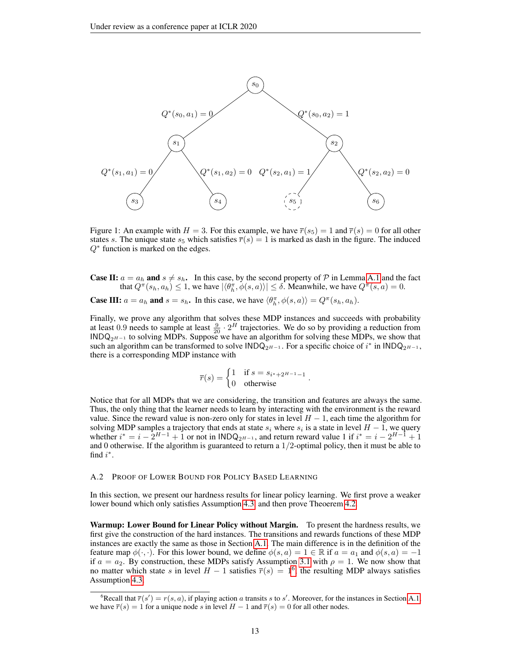<span id="page-12-0"></span>

Figure 1: An example with  $H = 3$ . For this example, we have  $\overline{r}(s_5) = 1$  and  $\overline{r}(s) = 0$  for all other states s. The unique state  $s_5$  which satisfies  $\overline{r}(s) = 1$  is marked as dash in the figure. The induced  $Q^*$  function is marked on the edges.

**Case II:**  $a = a_h$  and  $s \neq s_h$ . In this case, by the second property of P in Lemma [A.1](#page-11-1) and the fact that  $Q^{\pi}(s_h, a_h) \leq 1$ , we have  $|\langle \theta_h^{\pi}, \phi(s, a) \rangle| \leq \delta$ . Meanwhile, we have  $Q^{\pi}(s, a) = 0$ .

**Case III:**  $a = a_h$  and  $s = s_h$ . In this case, we have  $\langle \theta_h^{\pi}, \phi(s, a) \rangle = Q^{\pi}(s_h, a_h)$ .

Finally, we prove any algorithm that solves these MDP instances and succeeds with probability at least 0.9 needs to sample at least  $\frac{9}{20} \cdot 2^H$  trajectories. We do so by providing a reduction from INDQ<sub>2</sub> $H-1$  to solving MDPs. Suppose we have an algorithm for solving these MDPs, we show that such an algorithm can be transformed to solve  $\text{INDQ}_{2^{H-1}}$ . For a specific choice of  $i^*$  in  $\text{INDQ}_{2^{H-1}}$ , there is a corresponding MDP instance with

$$
\overline{r}(s) = \begin{cases} 1 & \text{if } s = s_{i^* + 2^{H-1} - 1} \\ 0 & \text{otherwise} \end{cases}.
$$

Notice that for all MDPs that we are considering, the transition and features are always the same. Thus, the only thing that the learner needs to learn by interacting with the environment is the reward value. Since the reward value is non-zero only for states in level  $H - 1$ , each time the algorithm for solving MDP samples a trajectory that ends at state  $s_i$  where  $s_i$  is a state in level  $H-1$ , we query whether  $i^* = i - 2^{H-1} + 1$  or not in  $\text{INDQ}_{2^{H-1}}$ , and return reward value 1 if  $i^* = i - 2^{H-1} + 1$ and 0 otherwise. If the algorithm is guaranteed to return a  $1/2$ -optimal policy, then it must be able to find  $i^*$ .

#### A.2 PROOF OF LOWER BOUND FOR POLICY BASED LEARNING

In this section, we present our hardness results for linear policy learning. We first prove a weaker lower bound which only satisfies Assumption [4.3,](#page-5-2) and then prove Theoerem [4.2.](#page-6-0)

Warmup: Lower Bound for Linear Policy without Margin. To present the hardness results, we first give the construction of the hard instances. The transitions and rewards functions of these MDP instances are exactly the same as those in Section [A.1.](#page-11-2) The main difference is in the definition of the feature map  $\phi(\cdot, \cdot)$ . For this lower bound, we define  $\phi(s, a) = 1 \in \mathbb{R}$  if  $a = a_1$  and  $\phi(s, a) = -1$ if  $a = a_2$ . By construction, these MDPs satisfy Assumption [3.1](#page-4-2) with  $\rho = 1$ . We now show that no matter which state s in level  $H - 1$  satisfies  $\overline{r}(s) = 1^6$  $\overline{r}(s) = 1^6$ , the resulting MDP always satisfies Assumption [4.3.](#page-5-2)

<span id="page-12-1"></span><sup>&</sup>lt;sup>6</sup>Recall that  $\overline{r}(s') = r(s, a)$ , if playing action a transits s to s'. Moreover, for the instances in Section [A.1,](#page-11-2) we have  $\overline{r}(s) = 1$  for a unique node s in level  $H - 1$  and  $\overline{r}(s) = 0$  for all other nodes.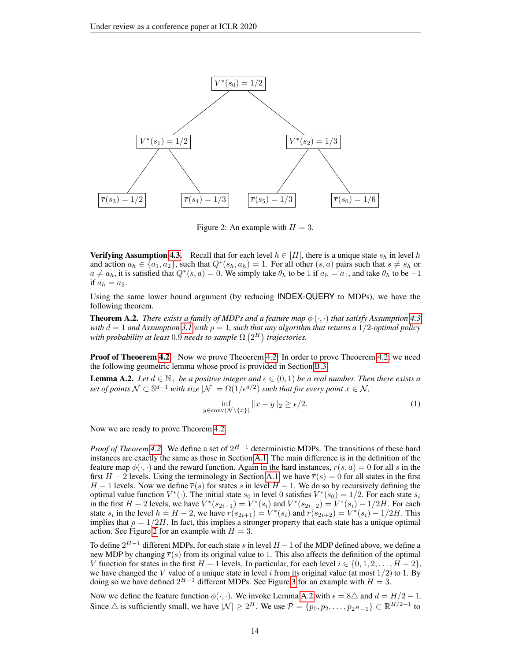<span id="page-13-0"></span>

Figure 2: An example with  $H = 3$ .

**Verifying Assumption [4.3.](#page-5-2)** Recall that for each level  $h \in [H]$ , there is a unique state  $s_h$  in level h and action  $a_h \in \{a_1, a_2\}$ , such that  $Q^*(s_h, a_h) = 1$ . For all other  $(s, a)$  pairs such that  $s \neq s_h$  or  $a \neq a_h$ , it is satisfied that  $Q^*(s, a) = 0$ . We simply take  $\theta_h$  to be 1 if  $a_h = a_1$ , and take  $\theta_h$  to be  $-1$ if  $a_h = a_2$ .

Using the same lower bound argument (by reducing INDEX-QUERY to MDPs), we have the following theorem.

**Theorem A.2.** *There exists a family of MDPs and a feature map*  $\phi(\cdot, \cdot)$  *that satisfy Assumption [4.3](#page-5-2) with*  $d = 1$  *and Assumption* [3.1](#page-4-2) *with*  $\rho = 1$ *, such that any algorithm that returns a* 1/2*-optimal policy* with probability at least  $0.9$  needs to sample  $\Omega\left(2^{H}\right)$  trajectories.

**Proof of Theoerem [4.2](#page-6-0)** Now we prove Theoerem [4.2.](#page-6-0) In order to prove Theoerem [4.2,](#page-6-0) we need the following geometric lemma whose proof is provided in Section [B.3.](#page-16-1)

<span id="page-13-1"></span>**Lemma A.2.** Let  $d \in \mathbb{N}_+$  be a positive integer and  $\epsilon \in (0,1)$  be a real number. Then there exists a set of points  $\mathcal{N} \subset \mathbb{S}^{d-1}$  with size  $|\mathcal{N}| = \Omega(1/\epsilon^{d/2})$  such that for every point  $x \in \mathcal{N}$ ,

<span id="page-13-2"></span>
$$
\inf_{y \in \text{conv}(\mathcal{N} \setminus \{x\})} \|x - y\|_2 \ge \epsilon/2. \tag{1}
$$

Now we are ready to prove Theorem [4.2.](#page-6-0)

*Proof of Theorem* [4.2.](#page-6-0) We define a set of  $2^{H-1}$  deterministic MDPs. The transitions of these hard instances are exactly the same as those in Section [A.1.](#page-11-2) The main difference is in the definition of the feature map  $\phi(\cdot, \cdot)$  and the reward function. Again in the hard instances,  $r(s, a) = 0$  for all s in the first  $H - 2$  levels. Using the terminology in Section [A.1,](#page-11-2) we have  $\overline{r}(s) = 0$  for all states in the first  $H-1$  levels. Now we define  $\overline{r}(s)$  for states s in level  $H-1$ . We do so by recursively defining the optimal value function  $V^*(\cdot)$ . The initial state  $s_0$  in level 0 satisfies  $V^*(s_0) = 1/2$ . For each state  $s_i$ in the first  $H - 2$  levels, we have  $V^*(s_{2i+1}) = V^*(s_i)$  and  $V^*(s_{2i+2}) = V^*(s_i) - 1/2H$ . For each state  $s_i$  in the level  $h = H - 2$ , we have  $\overline{r}(s_{2i+1}) = V^*(s_i)$  and  $\overline{r}(s_{2i+2}) = V^*(s_i) - 1/2H$ . This implies that  $\rho = 1/2H$ . In fact, this implies a stronger property that each state has a unique optimal action. See Figure [2](#page-13-0) for an example with  $H = 3$ .

To define  $2^{H-1}$  different MDPs, for each state s in level  $H-1$  of the MDP defined above, we define a new MDP by changing  $\overline{r}(s)$  from its original value to 1. This also affects the definition of the optimal V function for states in the first  $H - 1$  levels. In particular, for each level  $i \in \{0, 1, 2, \ldots, H - 2\}$ , we have changed the V value of a unique state in level i from its original value (at most  $1/2$ ) to 1. By doing so we have defined  $2^{H-1}$  different MDPs. See Figure [3](#page-14-0) for an example with  $H = 3$ .

Now we define the feature function  $\phi(\cdot, \cdot)$ . We invoke Lemma [A.2](#page-13-1) with  $\epsilon = 8\Delta$  and  $d = H/2 - 1$ . Since  $\triangle$  is sufficiently small, we have  $|\mathcal{N}| \geq 2^H$ . We use  $\mathcal{P} = \{p_0, p_2, \dots, p_{2^H-1}\} \subset \mathbb{R}^{H/2-1}$  to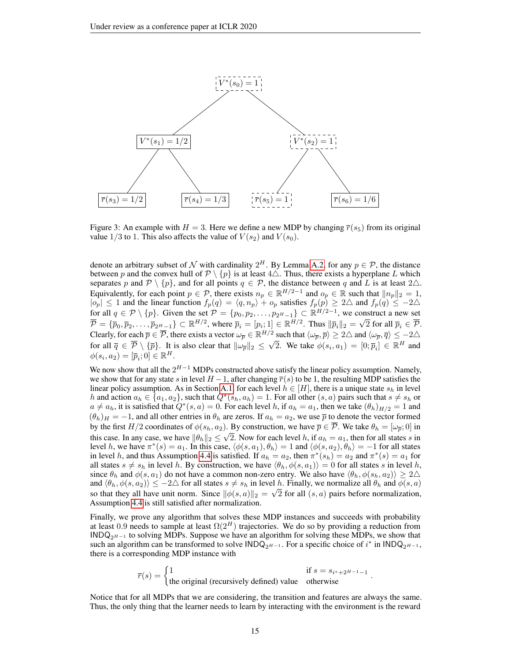<span id="page-14-0"></span>

Figure 3: An example with  $H = 3$ . Here we define a new MDP by changing  $\overline{r}(s_5)$  from its original value 1/3 to 1. This also affects the value of  $V(s_2)$  and  $V(s_0)$ .

denote an arbitrary subset of  $\mathcal N$  with cardinality  $2^H$ . By Lemma [A.2,](#page-13-1) for any  $p \in \mathcal P$ , the distance between p and the convex hull of  $\mathcal{P} \setminus \{p\}$  is at least  $4\triangle$ . Thus, there exists a hyperplane L which separates p and  $P \setminus \{p\}$ , and for all points  $q \in \mathcal{P}$ , the distance between q and L is at least  $2\triangle$ . Equivalently, for each point  $p \in \mathcal{P}$ , there exists  $n_p \in \mathbb{R}^{H/2-1}$  and  $o_p \in \mathbb{R}$  such that  $||n_p||_2 = 1$ ,  $|o_p| \leq 1$  and the linear function  $f_p(q) = \langle q, n_p \rangle + o_p$  satisfies  $f_p(p) \geq 2\Delta$  and  $f_p(q) \leq -2\Delta$ for all  $q \in \mathcal{P} \setminus \{p\}$ . Given the set  $\mathcal{P} = \{p_0, p_2, \ldots, p_{2^H-1}\} \subset \mathbb{R}^{H/2-1}$ , we construct a new set  $\overline{\mathcal{P}} = \{\overline{p}_0, \overline{p}_2, \dots, \overline{p}_{2^H-1}\} \subset \mathbb{R}^{H/2}$ , where  $\overline{p}_i = [p_i; 1] \in \mathbb{R}^{H/2}$ . Thus  $\|\overline{p}_i\|_2 =$ ∪⊔<br>∕ 2 for all  $\overline{p}_i \in \overline{\mathcal{P}}$ . Clearly, for each  $\overline{p} \in \overline{\mathcal{P}}$ , there exists a vector  $\omega_{\overline{p}} \in \mathbb{R}^{H/2}$  such that  $\langle \omega_{\overline{p}}, \overline{p} \rangle \geq 2\triangle$  and  $\langle \omega_{\overline{p}}, \overline{q} \rangle \leq -2\triangle$ for all  $\overline{q} \in \overline{P} \setminus {\{\overline{p}\}}$ . It is also clear that  $\|\omega_{\overline{p}}\|_2 \leq$ √ 2. We take  $\phi(s_i, a_1) = [0; \overline{p}_i] \in \mathbb{R}^H$  and  $\phi(s_i, a_2) = [\overline{p}_i; 0] \in \mathbb{R}^H.$ 

We now show that all the  $2^{H-1}$  MDPs constructed above satisfy the linear policy assumption. Namely, we show that for any state s in level  $H-1$ , after changing  $\overline{r}(s)$  to be 1, the resulting MDP satisfies the linear policy assumption. As in Section [A.1,](#page-11-2) for each level  $h \in [H]$ , there is a unique state  $s_h$  in level h and action  $a_h \in \{a_1, a_2\}$ , such that  $Q^*(s_h, a_h) = 1$ . For all other  $(s, a)$  pairs such that  $s \neq s_h$  or  $a \neq a_h$ , it is satisfied that  $Q^*(s, a) = 0$ . For each level h, if  $a_h = a_1$ , then we take  $(\theta_h)_{H/2} = 1$  and  $(\theta_h)_H = -1$ , and all other entries in  $\theta_h$  are zeros. If  $a_h = a_2$ , we use  $\bar{p}$  to denote the vector formed by the first  $H/2$  coordinates of  $\phi(s_h, a_2)$ . By construction, we have  $\overline{p} \in \mathcal{P}$ . We take  $\theta_h = [\omega_{\overline{p}}; 0]$  in this case. In any case, we have  $\|\theta_h\|_2 \leq \sqrt{2}$ . Now for each level h, if  $a_h = a_1$ , then for all states s in level h, we have  $\pi^*(s) = a_1$ . In this case,  $\langle \phi(s, a_1), \theta_h \rangle = 1$  and  $\langle \phi(s, a_2), \theta_h \rangle = -1$  for all states in level h, and thus Assumption [4.4](#page-6-1) is satisfied. If  $a_h = a_2$ , then  $\pi^*(s_h) = a_2$  and  $\pi^*(s) = a_1$  for all states  $s \neq s_h$  in level h. By construction, we have  $\langle \theta_h, \phi(s, a_1) \rangle = 0$  for all states s in level h, since  $\theta_h$  and  $\phi(s, a_1)$  do not have a common non-zero entry. We also have  $\langle \theta_h, \phi(s_h, a_2) \rangle \geq 2\Delta$ and  $\langle \theta_h, \phi(s, a_2) \rangle \leq -2\Delta$  for all states  $s \neq s_h$  in level h. Finally, we normalize all  $\theta_h$  and  $\phi(s, a)$ so that they all have unit norm. Since  $\|\phi(s, a)\|_2 = \sqrt{2}$  for all  $(s, a)$  pairs before normalization, Assumption [4.4](#page-6-1) is still satisfied after normalization.

Finally, we prove any algorithm that solves these MDP instances and succeeds with probability at least 0.9 needs to sample at least  $\Omega(2^H)$  trajectories. We do so by providing a reduction from  $INDQ_{2H-1}$  to solving MDPs. Suppose we have an algorithm for solving these MDPs, we show that such an algorithm can be transformed to solve  $\text{INDQ}_{2^{H-1}}$ . For a specific choice of  $i^*$  in  $\text{INDQ}_{2^{H-1}}$ , there is a corresponding MDP instance with

$$
\overline{r}(s) = \begin{cases} 1 & \text{if } s = s_{i^* + 2^{H-1} - 1} \\ \text{the original (recursively defined) value} & \text{otherwise} \end{cases}.
$$

Notice that for all MDPs that we are considering, the transition and features are always the same. Thus, the only thing that the learner needs to learn by interacting with the environment is the reward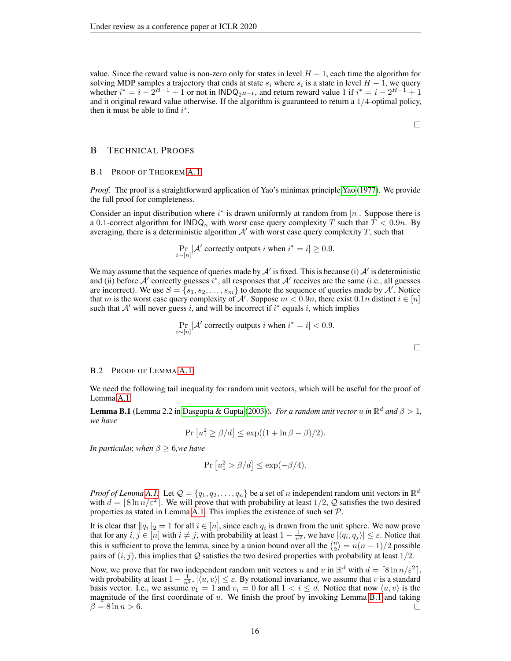value. Since the reward value is non-zero only for states in level  $H - 1$ , each time the algorithm for solving MDP samples a trajectory that ends at state  $s_i$  where  $s_i$  is a state in level  $H-1$ , we query whether  $i^* = i - 2^{H-1} + 1$  or not in  $\text{INDQ}_{2^{H-1}}$ , and return reward value 1 if  $i^* = i - 2^{H-1} + 1$ and it original reward value otherwise. If the algorithm is guaranteed to return a  $1/4$ -optimal policy, then it must be able to find  $i^*$ .

## B TECHNICAL PROOFS

#### <span id="page-15-0"></span>B.1 PROOF OF THEOREM [A.1](#page-11-0)

*Proof.* The proof is a straightforward application of [Yao](#page-10-6)'s minimax principle Yao [\(1977\)](#page-10-6). We provide the full proof for completeness.

Consider an input distribution where  $i^*$  is drawn uniformly at random from [n]. Suppose there is a 0.1-correct algorithm for  $\text{INDQ}_n$  with worst case query complexity T such that  $T < 0.9n$ . By averaging, there is a deterministic algorithm  $A'$  with worst case query complexity  $T$ , such that

$$
\Pr_{i \sim [n]}[\mathcal{A}' \text{ correctly outputs } i \text{ when } i^* = i] \ge 0.9.
$$

We may assume that the sequence of queries made by  $A'$  is fixed. This is because (i)  $A'$  is deterministic and (ii) before  $A'$  correctly guesses  $i^*$ , all responses that  $A'$  receives are the same (i.e., all guesses are incorrect). We use  $S = \{s_1, s_2, \ldots, s_m\}$  to denote the sequence of queries made by  $\mathcal{A}'$ . Notice that m is the worst case query complexity of A'. Suppose  $m < 0.9n$ , there exist  $0.1n$  distinct  $i \in [n]$ such that  $A'$  will never guess i, and will be incorrect if  $i^*$  equals i, which implies

$$
\Pr_{i \sim [n]}[\mathcal{A}' \text{ correctly outputs } i \text{ when } i^* = i] < 0.9.
$$

## <span id="page-15-1"></span>B.2 PROOF OF LEMMA [A.1](#page-11-1)

We need the following tail inequality for random unit vectors, which will be useful for the proof of Lemma [A.1.](#page-11-1)

<span id="page-15-2"></span>**Lemma B.1** (Lemma 2.2 in [Dasgupta & Gupta](#page-8-16) [\(2003\)](#page-8-16)). *For a random unit vector u in*  $\mathbb{R}^d$  *and*  $\beta > 1$ , *we have*

$$
Pr[u_1^2 \ge \beta/d] \le \exp((1 + \ln \beta - \beta)/2).
$$

*In particular, when*  $\beta \geq 6$ *, we have* 

$$
Pr[u_1^2 > \beta/d] \le \exp(-\beta/4).
$$

*Proof of Lemma* [A.1.](#page-11-1) Let  $\mathcal{Q} = \{q_1, q_2, \dots, q_n\}$  be a set of n independent random unit vectors in  $\mathbb{R}^d$ with  $d = \lceil 8 \ln n/\varepsilon^2 \rceil$ . We will prove that with probability at least  $1/2$ , Q satisfies the two desired properties as stated in Lemma [A.1.](#page-11-1) This implies the existence of such set  $P$ .

It is clear that  $||q_i||_2 = 1$  for all  $i \in [n]$ , since each  $q_i$  is drawn from the unit sphere. We now prove that for any  $i, j \in [n]$  with  $i \neq j$ , with probability at least  $1 - \frac{1}{n^2}$ , we have  $|\langle q_i, q_j \rangle| \leq \varepsilon$ . Notice that this is sufficient to prove the lemma, since by a union bound over all the  $\binom{n}{2} = n(n-1)/2$  possible pairs of  $(i, j)$ , this implies that Q satisfies the two desired properties with probability at least  $1/2$ .

Now, we prove that for two independent random unit vectors u and v in  $\mathbb{R}^d$  with  $d = \lceil 8 \ln n/\varepsilon^2 \rceil$ , with probability at least  $1 - \frac{1}{n^2}$ ,  $|\langle u, v \rangle| \le \varepsilon$ . By rotational invariance, we assume that v is a standard basis vector. I.e., we assume  $v_1 = 1$  and  $v_i = 0$  for all  $1 < i \le d$ . Notice that now  $\langle u, v \rangle$  is the magnitude of the first coordinate of  $u$ . We finish the proof by invoking Lemma [B.1](#page-15-2) and taking  $\beta = 8 \ln n > 6.$ П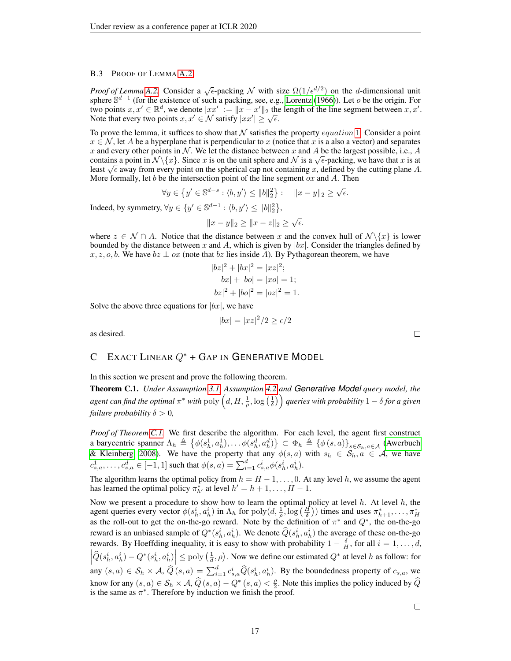#### <span id="page-16-1"></span>B.3 PROOF OF LEMMA [A.2](#page-13-1)

*Proof of Lemma* [A.2.](#page-13-1) Consider a  $\sqrt{\epsilon}$ -packing N with size  $\Omega(1/\epsilon^{d/2})$  on the d-dimensional unit sphere  $\mathbb{S}^{d-1}$  (for the existence of such a packing, see, e.g., [Lorentz](#page-9-17) [\(1966\)](#page-9-17)). Let o be the origin. For two points  $x, x' \in \mathbb{R}^d$ , we denote  $|xx'| := ||x - x'||_2$  the length of the line segment between  $x, x'$ . two points  $x, x \in \mathbb{R}^+,$  we denote  $|xx| := \|x - x\|_2$  the<br>Note that every two points  $x, x' \in \mathcal{N}$  satisfy  $|xx'| \ge \sqrt{\epsilon}$ .

To prove the lemma, it suffices to show that  $N$  satisfies the property *equation* [1](#page-13-2). Consider a point  $x \in \mathcal{N}$ , let A be a hyperplane that is perpendicular to x (notice that x is a also a vector) and separates x and every other points in N. We let the distance between x and A be the largest possible, i.e., A x and every other points in N. We let the distance between x and A be the largest possible, i.e., A contains a point in  $\mathcal{N}\lbrace x \rbrace$ . Since x is on the unit sphere and N is a  $\sqrt{\epsilon}$ -packing, we have that x is at contains a point in N \{x}. Since x is on the unit sphere and N is a  $\sqrt{\epsilon}$ -packing, we have that x is at least  $\sqrt{\epsilon}$  away from every point on the spherical cap not containing x, defined by the cutting plane A. More formally, let  $b$  be the intersection point of the line segment  $\alpha x$  and  $A$ . Then

$$
\forall y \in \{y' \in \mathbb{S}^{d-s} : \langle b, y' \rangle \le ||b||_2^2\} : \quad ||x - y||_2 \ge \sqrt{\epsilon}.
$$

Indeed, by symmetry,  $\forall y \in \{y' \in \mathbb{S}^{d-1} : \langle b, y' \rangle \leq ||b||_2^2\},\$ 

$$
||x - y||_2 \ge ||x - z||_2 \ge \sqrt{\epsilon}.
$$

where  $z \in \mathcal{N} \cap A$ . Notice that the distance between x and the convex hull of  $\mathcal{N}\backslash\{x\}$  is lower bounded by the distance between x and A, which is given by  $|bx|$ . Consider the triangles defined by  $x, z, o, b$ . We have  $bz \perp oz$  (note that  $bz$  lies inside A). By Pythagorean theorem, we have

$$
|bz|^2 + |bx|^2 = |xz|^2;
$$
  
\n
$$
|bx| + |bo| = |xo| = 1;
$$
  
\n
$$
|bz|^2 + |bo|^2 = |oz|^2 = 1.
$$

Solve the above three equations for  $|bx|$ , we have

$$
|bx| = |xz|^2/2 \ge \epsilon/2
$$

as desired.

# C EXACT LINEAR  $Q^*$  + GAP IN GENERATIVE MODEL

In this section we present and prove the following theorem.

<span id="page-16-0"></span>Theorem C.1. *Under Assumption [3.1,](#page-4-2) Assumption [4.2](#page-5-3) and Generative Model query model, the*  $a$ gent can find the optimal  $\pi^*$  with  $\operatorname{poly}\left(d,H,\frac{1}{\rho},\log\left(\frac{1}{\delta}\right)\right)$  queries with probability  $1-\delta$  for a given *failure probability*  $\delta > 0$ *,* 

*Proof of Theorem [C.1.](#page-16-0)* We first describe the algorithm. For each level, the agent first construct a barycentric spanner  $\Lambda_h \triangleq \{ \phi(s_h^1, a_h^1), \dots \phi(s_h^d, a_h^d) \} \subset \Phi_h \triangleq \{ \phi(s, a) \}_{s \in S_h, a \in \mathcal{A}}$  [\(Awerbuch](#page-8-17) [& Kleinberg, 2008\)](#page-8-17). We have the property that any  $\phi(s, a)$  with  $s_h \in S_h, a \in A$ , we have  $c^1_{s,a}, \ldots, c^d_{s,a} \in [-1,1]$  such that  $\phi(s,a) = \sum_{i=1}^d c^i_{s,a} \phi(s^i_h, a^i_h)$ .

The algorithm learns the optimal policy from  $h = H - 1, \ldots, 0$ . At any level h, we assume the agent has learned the optimal policy  $\pi^*_{h'}$  at level  $h' = h + 1, \dots, H - 1$ .

Now we present a procedure to show how to learn the optimal policy at level  $h$ . At level  $h$ , the agent queries every vector  $\phi(s_h^i, a_h^i)$  in  $\Lambda_h$  for  $\text{poly}(d, \frac{1}{\rho}, \log(\frac{H}{\delta}))$  times and uses  $\pi_{h+1}^*, \ldots, \pi_H^*$ as the roll-out to get the on-the-go reward. Note by the definition of  $\pi^*$  and  $Q^*$ , the on-the-go reward is an unbiased sample of  $Q^*(s_h^i, a_h^i)$ . We denote  $\widehat{Q}(s_h^i, a_h^i)$  the average of these on-the-go rewards. By Hoeffding inequality, it is easy to show with probability  $1 - \frac{\delta}{H}$ , for all  $i = 1, \ldots, d$ ,  $\left|\hat{Q}(s_h^i, a_h^i) - Q^*(s_h^i, a_h^i)\right| \le \text{poly}\left(\frac{1}{d}, \rho\right)$ . Now we define our estimated  $Q^*$  at level h as follow: for any  $(s, a) \in S_h \times A$ ,  $\widehat{Q}(s, a) = \sum_{i=1}^d c_{s,a}^i \widehat{Q}(s_h^i, a_h^i)$ . By the boundedness property of  $c_{s,a}$ , we know for any  $(s, a) \in S_h \times A$ ,  $\widehat{Q}(s, a) - Q^*(s, a) < \frac{\rho}{2}$  $\frac{\rho}{2}$ . Note this implies the policy induced by Q is the same as  $\pi^*$ . Therefore by induction we finish the proof.